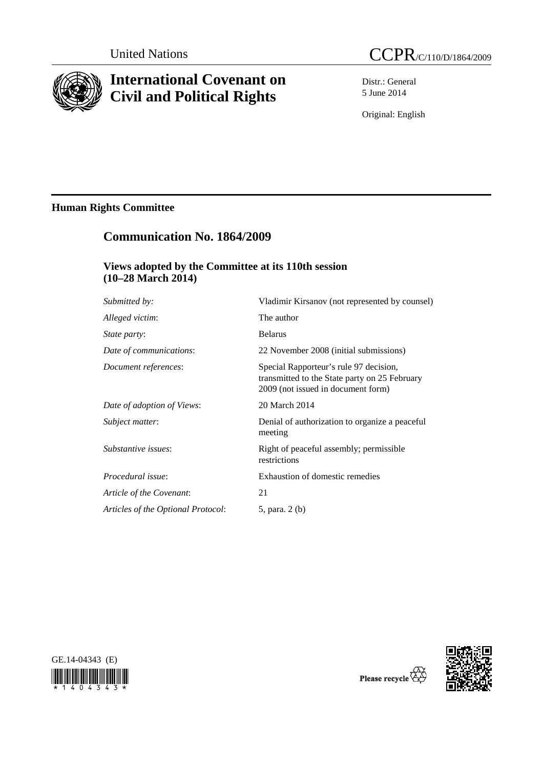

# **International Covenant on Civil and Political Rights**

Distr.: General 5 June 2014

Original: English

# **Human Rights Committee**

# **Communication No. 1864/2009**

## **Views adopted by the Committee at its 110th session (10–28 March 2014)**

| Submitted by:                      | Vladimir Kirsanov (not represented by counsel)                                                                                |
|------------------------------------|-------------------------------------------------------------------------------------------------------------------------------|
| Alleged victim:                    | The author                                                                                                                    |
| <i>State party:</i>                | <b>Belarus</b>                                                                                                                |
| Date of communications:            | 22 November 2008 (initial submissions)                                                                                        |
| Document references:               | Special Rapporteur's rule 97 decision,<br>transmitted to the State party on 25 February<br>2009 (not issued in document form) |
| Date of adoption of Views:         | 20 March 2014                                                                                                                 |
| Subject matter:                    | Denial of authorization to organize a peaceful<br>meeting                                                                     |
| Substantive issues:                | Right of peaceful assembly; permissible<br>restrictions                                                                       |
| Procedural issue:                  | Exhaustion of domestic remedies                                                                                               |
| Article of the Covenant:           | 21                                                                                                                            |
| Articles of the Optional Protocol: | 5, para. 2 (b)                                                                                                                |
|                                    |                                                                                                                               |





Please recycle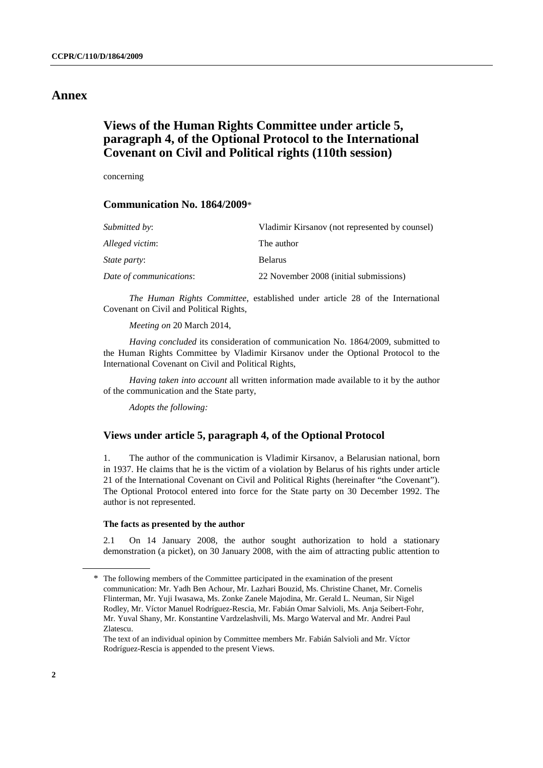### **Annex**

# **Views of the Human Rights Committee under article 5, paragraph 4, of the Optional Protocol to the International Covenant on Civil and Political rights (110th session)**

concerning

### **Communication No. 1864/2009**\*

| Submitted by:           | Vladimir Kirsanov (not represented by counsel) |
|-------------------------|------------------------------------------------|
| Alleged victim:         | The author                                     |
| <i>State party:</i>     | <b>Belarus</b>                                 |
| Date of communications: | 22 November 2008 (initial submissions)         |

*The Human Rights Committee*, established under article 28 of the International Covenant on Civil and Political Rights,

*Meeting on* 20 March 2014,

*Having concluded* its consideration of communication No. 1864/2009, submitted to the Human Rights Committee by Vladimir Kirsanov under the Optional Protocol to the International Covenant on Civil and Political Rights,

*Having taken into account* all written information made available to it by the author of the communication and the State party,

*Adopts the following:* 

### **Views under article 5, paragraph 4, of the Optional Protocol**

1. The author of the communication is Vladimir Kirsanov, a Belarusian national, born in 1937. He claims that he is the victim of a violation by Belarus of his rights under article 21 of the International Covenant on Civil and Political Rights (hereinafter "the Covenant"). The Optional Protocol entered into force for the State party on 30 December 1992. The author is not represented.

#### **The facts as presented by the author**

2.1 On 14 January 2008, the author sought authorization to hold a stationary demonstration (a picket), on 30 January 2008, with the aim of attracting public attention to

<sup>\*</sup> The following members of the Committee participated in the examination of the present communication: Mr. Yadh Ben Achour, Mr. Lazhari Bouzid, Ms. Christine Chanet, Mr. Cornelis Flinterman, Mr. Yuji Iwasawa, Ms. Zonke Zanele Majodina, Mr. Gerald L. Neuman, Sir Nigel Rodley, Mr. Víctor Manuel Rodríguez-Rescia, Mr. Fabián Omar Salvioli, Ms. Anja Seibert-Fohr, Mr. Yuval Shany, Mr. Konstantine Vardzelashvili, Ms. Margo Waterval and Mr. Andrei Paul Zlatescu.

The text of an individual opinion by Committee members Mr. Fabián Salvioli and Mr. Víctor Rodríguez-Rescia is appended to the present Views.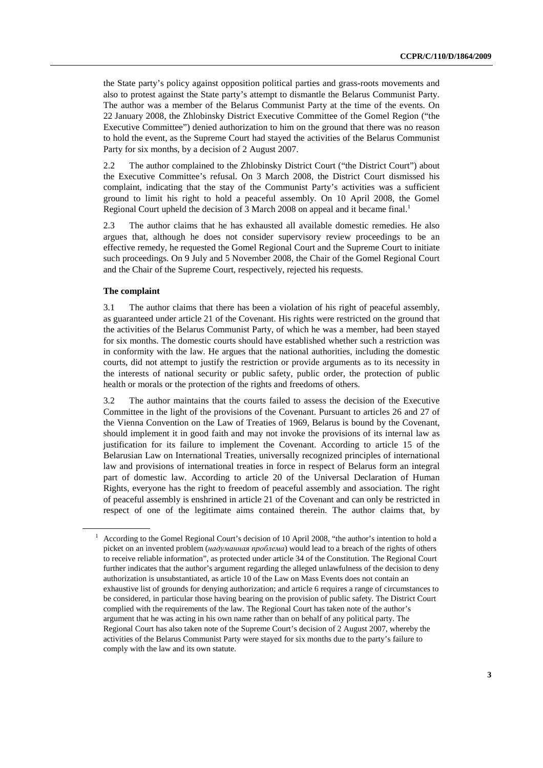the State party's policy against opposition political parties and grass-roots movements and also to protest against the State party's attempt to dismantle the Belarus Communist Party. The author was a member of the Belarus Communist Party at the time of the events. On 22 January 2008, the Zhlobinsky District Executive Committee of the Gomel Region ("the Executive Committee") denied authorization to him on the ground that there was no reason to hold the event, as the Supreme Court had stayed the activities of the Belarus Communist Party for six months, by a decision of 2 August 2007.

2.2 The author complained to the Zhlobinsky District Court ("the District Court") about the Executive Committee's refusal. On 3 March 2008, the District Court dismissed his complaint, indicating that the stay of the Communist Party's activities was a sufficient ground to limit his right to hold a peaceful assembly. On 10 April 2008, the Gomel Regional Court upheld the decision of 3 March 2008 on appeal and it became final.<sup>1</sup>

2.3 The author claims that he has exhausted all available domestic remedies. He also argues that, although he does not consider supervisory review proceedings to be an effective remedy, he requested the Gomel Regional Court and the Supreme Court to initiate such proceedings. On 9 July and 5 November 2008, the Chair of the Gomel Regional Court and the Chair of the Supreme Court, respectively, rejected his requests.

#### **The complaint**

3.1 The author claims that there has been a violation of his right of peaceful assembly, as guaranteed under article 21 of the Covenant. His rights were restricted on the ground that the activities of the Belarus Communist Party, of which he was a member, had been stayed for six months. The domestic courts should have established whether such a restriction was in conformity with the law. He argues that the national authorities, including the domestic courts, did not attempt to justify the restriction or provide arguments as to its necessity in the interests of national security or public safety, public order, the protection of public health or morals or the protection of the rights and freedoms of others.

3.2 The author maintains that the courts failed to assess the decision of the Executive Committee in the light of the provisions of the Covenant. Pursuant to articles 26 and 27 of the Vienna Convention on the Law of Treaties of 1969, Belarus is bound by the Covenant, should implement it in good faith and may not invoke the provisions of its internal law as justification for its failure to implement the Covenant. According to article 15 of the Belarusian Law on International Treaties, universally recognized principles of international law and provisions of international treaties in force in respect of Belarus form an integral part of domestic law. According to article 20 of the Universal Declaration of Human Rights, everyone has the right to freedom of peaceful assembly and association. The right of peaceful assembly is enshrined in article 21 of the Covenant and can only be restricted in respect of one of the legitimate aims contained therein. The author claims that, by

<sup>1</sup> According to the Gomel Regional Court's decision of 10 April 2008, "the author's intention to hold a picket on an invented problem (*надуманная проблема*) would lead to a breach of the rights of others to receive reliable information", as protected under article 34 of the Constitution. The Regional Court further indicates that the author's argument regarding the alleged unlawfulness of the decision to deny authorization is unsubstantiated, as article 10 of the Law on Mass Events does not contain an exhaustive list of grounds for denying authorization; and article 6 requires a range of circumstances to be considered, in particular those having bearing on the provision of public safety. The District Court complied with the requirements of the law. The Regional Court has taken note of the author's argument that he was acting in his own name rather than on behalf of any political party. The Regional Court has also taken note of the Supreme Court's decision of 2 August 2007, whereby the activities of the Belarus Communist Party were stayed for six months due to the party's failure to comply with the law and its own statute.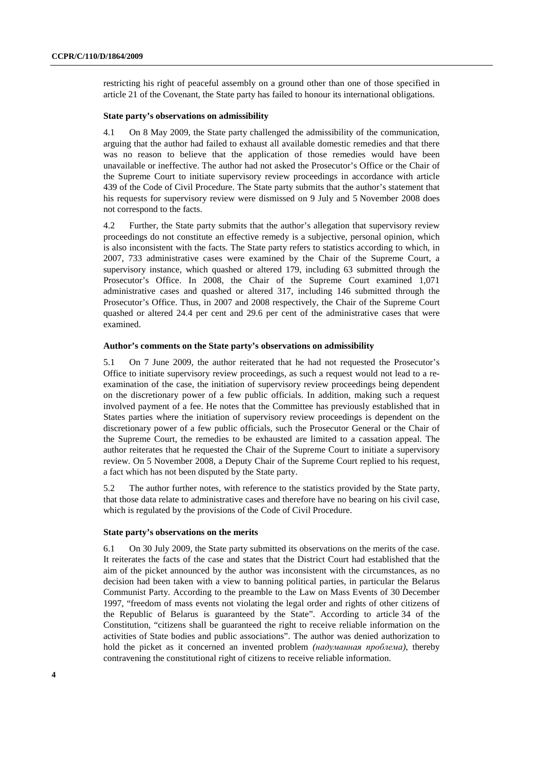restricting his right of peaceful assembly on a ground other than one of those specified in article 21 of the Covenant, the State party has failed to honour its international obligations.

#### **State party's observations on admissibility**

4.1 On 8 May 2009, the State party challenged the admissibility of the communication, arguing that the author had failed to exhaust all available domestic remedies and that there was no reason to believe that the application of those remedies would have been unavailable or ineffective. The author had not asked the Prosecutor's Office or the Chair of the Supreme Court to initiate supervisory review proceedings in accordance with article 439 of the Code of Civil Procedure. The State party submits that the author's statement that his requests for supervisory review were dismissed on 9 July and 5 November 2008 does not correspond to the facts.

4.2 Further, the State party submits that the author's allegation that supervisory review proceedings do not constitute an effective remedy is a subjective, personal opinion, which is also inconsistent with the facts. The State party refers to statistics according to which, in 2007, 733 administrative cases were examined by the Chair of the Supreme Court, a supervisory instance, which quashed or altered 179, including 63 submitted through the Prosecutor's Office. In 2008, the Chair of the Supreme Court examined 1,071 administrative cases and quashed or altered 317, including 146 submitted through the Prosecutor's Office. Thus, in 2007 and 2008 respectively, the Chair of the Supreme Court quashed or altered 24.4 per cent and 29.6 per cent of the administrative cases that were examined.

#### **Author's comments on the State party's observations on admissibility**

5.1 On 7 June 2009, the author reiterated that he had not requested the Prosecutor's Office to initiate supervisory review proceedings, as such a request would not lead to a reexamination of the case, the initiation of supervisory review proceedings being dependent on the discretionary power of a few public officials. In addition, making such a request involved payment of a fee. He notes that the Committee has previously established that in States parties where the initiation of supervisory review proceedings is dependent on the discretionary power of a few public officials, such the Prosecutor General or the Chair of the Supreme Court, the remedies to be exhausted are limited to a cassation appeal. The author reiterates that he requested the Chair of the Supreme Court to initiate a supervisory review. On 5 November 2008, a Deputy Chair of the Supreme Court replied to his request, a fact which has not been disputed by the State party.

5.2 The author further notes, with reference to the statistics provided by the State party, that those data relate to administrative cases and therefore have no bearing on his civil case, which is regulated by the provisions of the Code of Civil Procedure.

#### **State party's observations on the merits**

6.1 On 30 July 2009, the State party submitted its observations on the merits of the case. It reiterates the facts of the case and states that the District Court had established that the aim of the picket announced by the author was inconsistent with the circumstances, as no decision had been taken with a view to banning political parties, in particular the Belarus Communist Party. According to the preamble to the Law on Mass Events of 30 December 1997, "freedom of mass events not violating the legal order and rights of other citizens of the Republic of Belarus is guaranteed by the State". According to article 34 of the Constitution, "citizens shall be guaranteed the right to receive reliable information on the activities of State bodies and public associations". The author was denied authorization to hold the picket as it concerned an invented problem *(надуманная проблема)*, thereby contravening the constitutional right of citizens to receive reliable information.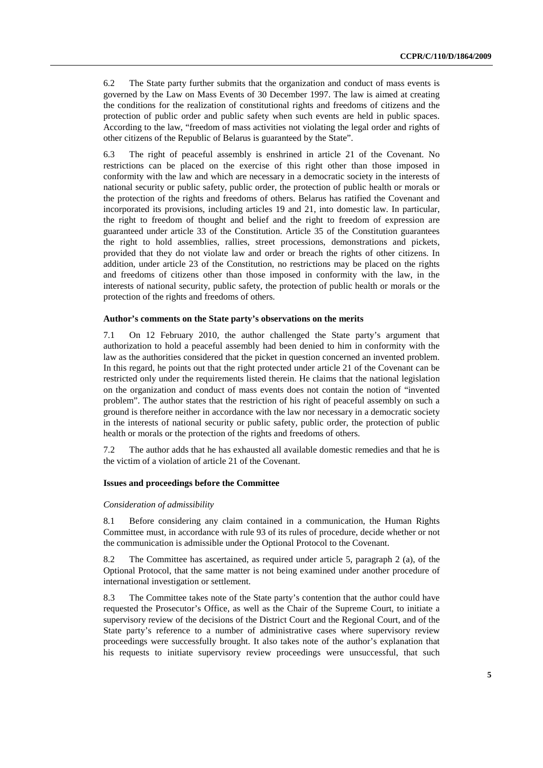6.2 The State party further submits that the organization and conduct of mass events is governed by the Law on Mass Events of 30 December 1997. The law is aimed at creating the conditions for the realization of constitutional rights and freedoms of citizens and the protection of public order and public safety when such events are held in public spaces. According to the law, "freedom of mass activities not violating the legal order and rights of other citizens of the Republic of Belarus is guaranteed by the State".

6.3 The right of peaceful assembly is enshrined in article 21 of the Covenant. No restrictions can be placed on the exercise of this right other than those imposed in conformity with the law and which are necessary in a democratic society in the interests of national security or public safety, public order, the protection of public health or morals or the protection of the rights and freedoms of others. Belarus has ratified the Covenant and incorporated its provisions, including articles 19 and 21, into domestic law. In particular, the right to freedom of thought and belief and the right to freedom of expression are guaranteed under article 33 of the Constitution. Article 35 of the Constitution guarantees the right to hold assemblies, rallies, street processions, demonstrations and pickets, provided that they do not violate law and order or breach the rights of other citizens. In addition, under article 23 of the Constitution, no restrictions may be placed on the rights and freedoms of citizens other than those imposed in conformity with the law, in the interests of national security, public safety, the protection of public health or morals or the protection of the rights and freedoms of others.

#### **Author's comments on the State party's observations on the merits**

7.1 On 12 February 2010, the author challenged the State party's argument that authorization to hold a peaceful assembly had been denied to him in conformity with the law as the authorities considered that the picket in question concerned an invented problem. In this regard, he points out that the right protected under article 21 of the Covenant can be restricted only under the requirements listed therein. He claims that the national legislation on the organization and conduct of mass events does not contain the notion of "invented problem". The author states that the restriction of his right of peaceful assembly on such a ground is therefore neither in accordance with the law nor necessary in a democratic society in the interests of national security or public safety, public order, the protection of public health or morals or the protection of the rights and freedoms of others.

7.2 The author adds that he has exhausted all available domestic remedies and that he is the victim of a violation of article 21 of the Covenant.

#### **Issues and proceedings before the Committee**

#### *Consideration of admissibility*

8.1 Before considering any claim contained in a communication, the Human Rights Committee must, in accordance with rule 93 of its rules of procedure, decide whether or not the communication is admissible under the Optional Protocol to the Covenant.

8.2 The Committee has ascertained, as required under article 5, paragraph 2 (a), of the Optional Protocol, that the same matter is not being examined under another procedure of international investigation or settlement.

8.3 The Committee takes note of the State party's contention that the author could have requested the Prosecutor's Office, as well as the Chair of the Supreme Court, to initiate a supervisory review of the decisions of the District Court and the Regional Court, and of the State party's reference to a number of administrative cases where supervisory review proceedings were successfully brought. It also takes note of the author's explanation that his requests to initiate supervisory review proceedings were unsuccessful, that such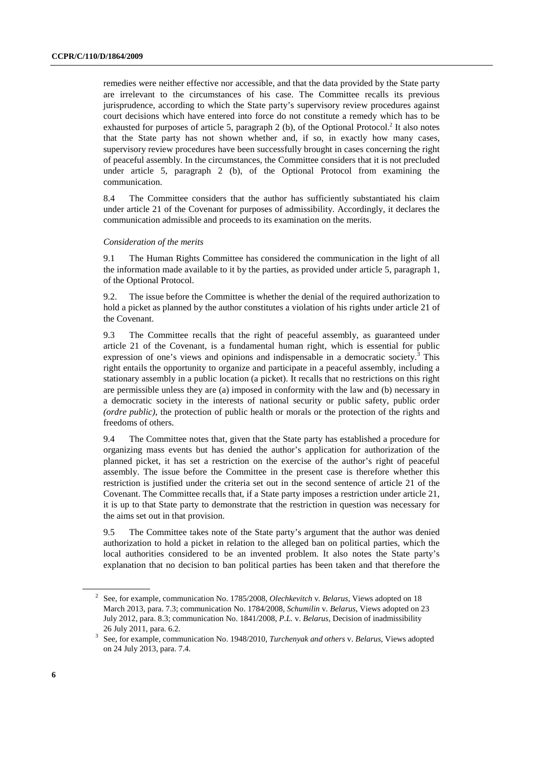remedies were neither effective nor accessible, and that the data provided by the State party are irrelevant to the circumstances of his case. The Committee recalls its previous jurisprudence, according to which the State party's supervisory review procedures against court decisions which have entered into force do not constitute a remedy which has to be exhausted for purposes of article 5, paragraph  $2$  (b), of the Optional Protocol.<sup>2</sup> It also notes that the State party has not shown whether and, if so, in exactly how many cases, supervisory review procedures have been successfully brought in cases concerning the right of peaceful assembly. In the circumstances, the Committee considers that it is not precluded under article 5, paragraph 2 (b), of the Optional Protocol from examining the communication.

8.4 The Committee considers that the author has sufficiently substantiated his claim under article 21 of the Covenant for purposes of admissibility. Accordingly, it declares the communication admissible and proceeds to its examination on the merits.

#### *Consideration of the merits*

9.1 The Human Rights Committee has considered the communication in the light of all the information made available to it by the parties, as provided under article 5, paragraph 1, of the Optional Protocol.

9.2. The issue before the Committee is whether the denial of the required authorization to hold a picket as planned by the author constitutes a violation of his rights under article 21 of the Covenant.

9.3 The Committee recalls that the right of peaceful assembly, as guaranteed under article 21 of the Covenant, is a fundamental human right, which is essential for public expression of one's views and opinions and indispensable in a democratic society.<sup>3</sup> This right entails the opportunity to organize and participate in a peaceful assembly, including a stationary assembly in a public location (a picket). It recalls that no restrictions on this right are permissible unless they are (a) imposed in conformity with the law and (b) necessary in a democratic society in the interests of national security or public safety, public order *(ordre public)*, the protection of public health or morals or the protection of the rights and freedoms of others.

9.4 The Committee notes that, given that the State party has established a procedure for organizing mass events but has denied the author's application for authorization of the planned picket, it has set a restriction on the exercise of the author's right of peaceful assembly. The issue before the Committee in the present case is therefore whether this restriction is justified under the criteria set out in the second sentence of article 21 of the Covenant. The Committee recalls that, if a State party imposes a restriction under article 21, it is up to that State party to demonstrate that the restriction in question was necessary for the aims set out in that provision.

9.5 The Committee takes note of the State party's argument that the author was denied authorization to hold a picket in relation to the alleged ban on political parties, which the local authorities considered to be an invented problem. It also notes the State party's explanation that no decision to ban political parties has been taken and that therefore the

<sup>2</sup> See, for example, communication No. 1785/2008, *Olechkevitch* v*. Belarus*, Views adopted on 18 March 2013, para. 7.3; communication No. 1784/2008, *Schumilin* v. *Belarus*, Views adopted on 23 July 2012, para. 8.3; communication No. 1841/2008, *P.L.* v. *Belarus*, Decision of inadmissibility

<sup>26</sup> July 2011, para. 6.2. 3 See, for example, communication No. 1948/2010, *Turchenyak and others* v. *Belarus*, Views adopted on 24 July 2013, para. 7.4.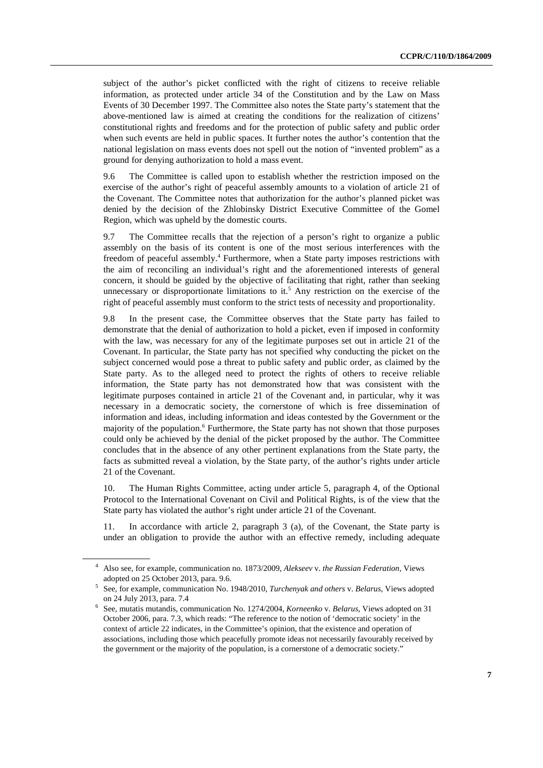subject of the author's picket conflicted with the right of citizens to receive reliable information, as protected under article 34 of the Constitution and by the Law on Mass Events of 30 December 1997. The Committee also notes the State party's statement that the above-mentioned law is aimed at creating the conditions for the realization of citizens' constitutional rights and freedoms and for the protection of public safety and public order when such events are held in public spaces. It further notes the author's contention that the national legislation on mass events does not spell out the notion of "invented problem" as a ground for denying authorization to hold a mass event.

9.6 The Committee is called upon to establish whether the restriction imposed on the exercise of the author's right of peaceful assembly amounts to a violation of article 21 of the Covenant. The Committee notes that authorization for the author's planned picket was denied by the decision of the Zhlobinsky District Executive Committee of the Gomel Region, which was upheld by the domestic courts.

9.7 The Committee recalls that the rejection of a person's right to organize a public assembly on the basis of its content is one of the most serious interferences with the freedom of peaceful assembly.<sup>4</sup> Furthermore, when a State party imposes restrictions with the aim of reconciling an individual's right and the aforementioned interests of general concern, it should be guided by the objective of facilitating that right, rather than seeking unnecessary or disproportionate limitations to it.<sup>5</sup> Any restriction on the exercise of the right of peaceful assembly must conform to the strict tests of necessity and proportionality.

9.8 In the present case, the Committee observes that the State party has failed to demonstrate that the denial of authorization to hold a picket, even if imposed in conformity with the law, was necessary for any of the legitimate purposes set out in article 21 of the Covenant. In particular, the State party has not specified why conducting the picket on the subject concerned would pose a threat to public safety and public order, as claimed by the State party. As to the alleged need to protect the rights of others to receive reliable information, the State party has not demonstrated how that was consistent with the legitimate purposes contained in article 21 of the Covenant and, in particular, why it was necessary in a democratic society, the cornerstone of which is free dissemination of information and ideas, including information and ideas contested by the Government or the majority of the population.<sup>6</sup> Furthermore, the State party has not shown that those purposes could only be achieved by the denial of the picket proposed by the author. The Committee concludes that in the absence of any other pertinent explanations from the State party, the facts as submitted reveal a violation, by the State party, of the author's rights under article 21 of the Covenant.

10. The Human Rights Committee, acting under article 5, paragraph 4, of the Optional Protocol to the International Covenant on Civil and Political Rights, is of the view that the State party has violated the author's right under article 21 of the Covenant.

11. In accordance with article 2, paragraph 3 (a), of the Covenant, the State party is under an obligation to provide the author with an effective remedy, including adequate

<sup>4</sup> Also see, for example, communication no. 1873/2009, *Alekseev* v. *the Russian Federation*, Views adopted on 25 October 2013, para. 9.6.<br><sup>5</sup> See, for example, communication No. 1948/2010, *Turchenyak and others v. Belarus*, Views adopted

on 24 July 2013, para. 7.4 6 See, mutatis mutandis, communication No. 1274/2004, *Korneenko* v. *Belarus*, Views adopted on 31

October 2006, para. 7.3, which reads: "The reference to the notion of 'democratic society' in the context of article 22 indicates, in the Committee's opinion, that the existence and operation of associations, including those which peacefully promote ideas not necessarily favourably received by the government or the majority of the population, is a cornerstone of a democratic society."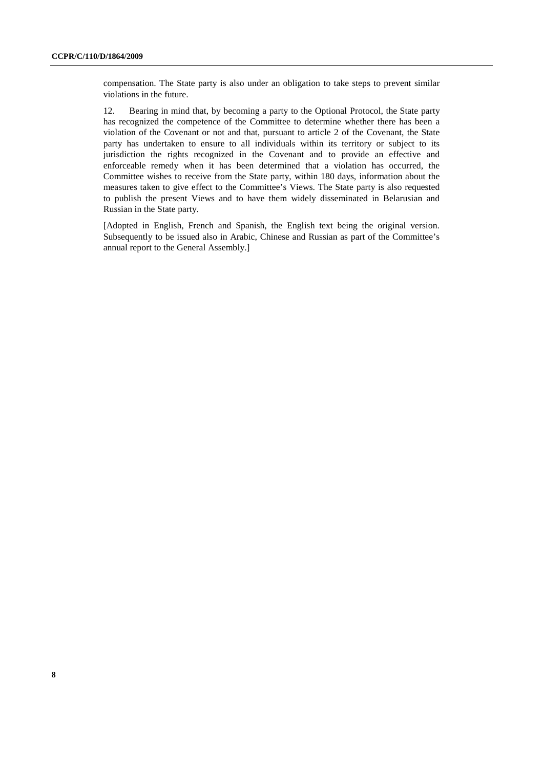compensation. The State party is also under an obligation to take steps to prevent similar violations in the future.

12. Bearing in mind that, by becoming a party to the Optional Protocol, the State party has recognized the competence of the Committee to determine whether there has been a violation of the Covenant or not and that, pursuant to article 2 of the Covenant, the State party has undertaken to ensure to all individuals within its territory or subject to its jurisdiction the rights recognized in the Covenant and to provide an effective and enforceable remedy when it has been determined that a violation has occurred, the Committee wishes to receive from the State party, within 180 days, information about the measures taken to give effect to the Committee's Views. The State party is also requested to publish the present Views and to have them widely disseminated in Belarusian and Russian in the State party.

[Adopted in English, French and Spanish, the English text being the original version. Subsequently to be issued also in Arabic, Chinese and Russian as part of the Committee's annual report to the General Assembly.]